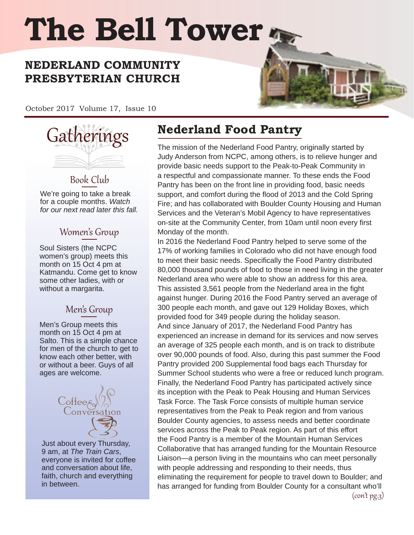# **The Bell Tower**

### **NEDERLAND COMMUNITY PRESBYTERIAN CHURCH**

October 2017 Volume 17, Issue 10



Book Club We're going to take a break for a couple months. *Watch for our next read later this fall.*

#### Women's Group

Soul Sisters (the NCPC women's group) meets this month on 15 Oct 4 pm at Katmandu. Come get to know some other ladies, with or without a margarita.

#### Men's Group

Men's Group meets this month on 15 Oct 4 pm at Salto. This is a simple chance for men of the church to get to know each other better, with or without a beer. Guys of all ages are welcome.



Just about every Thursday, 9 am, at *The Train Cars*, everyone is invited for coffee and conversation about life, faith, church and everything in between.

# **Nederland Food Pantry**

The mission of the Nederland Food Pantry, originally started by Judy Anderson from NCPC, among others, is to relieve hunger and provide basic needs support to the Peak-to-Peak Community in a respectful and compassionate manner. To these ends the Food Pantry has been on the front line in providing food, basic needs support, and comfort during the flood of 2013 and the Cold Spring Fire; and has collaborated with Boulder County Housing and Human Services and the Veteran's Mobil Agency to have representatives on-site at the Community Center, from 10am until noon every first Monday of the month.

In 2016 the Nederland Food Pantry helped to serve some of the 17% of working families in Colorado who did not have enough food to meet their basic needs. Specifically the Food Pantry distributed 80,000 thousand pounds of food to those in need living in the greater Nederland area who were able to show an address for this area. This assisted 3,561 people from the Nederland area in the fight against hunger. During 2016 the Food Pantry served an average of 300 people each month, and gave out 129 Holiday Boxes, which provided food for 349 people during the holiday season. And since January of 2017, the Nederland Food Pantry has experienced an increase in demand for its services and now serves an average of 325 people each month, and is on track to distribute over 90,000 pounds of food. Also, during this past summer the Food Pantry provided 200 Supplemental food bags each Thursday for Summer School students who were a free or reduced lunch program. Finally, the Nederland Food Pantry has participated actively since its inception with the Peak to Peak Housing and Human Services Task Force. The Task Force consists of multiple human service representatives from the Peak to Peak region and from various Boulder County agencies, to assess needs and better coordinate services across the Peak to Peak region. As part of this effort the Food Pantry is a member of the Mountain Human Services Collaborative that has arranged funding for the Mountain Resource Liaison—a person living in the mountains who can meet personally with people addressing and responding to their needs, thus eliminating the requirement for people to travel down to Boulder; and has arranged for funding from Boulder County for a consultant who'll  $($ con't pg.3)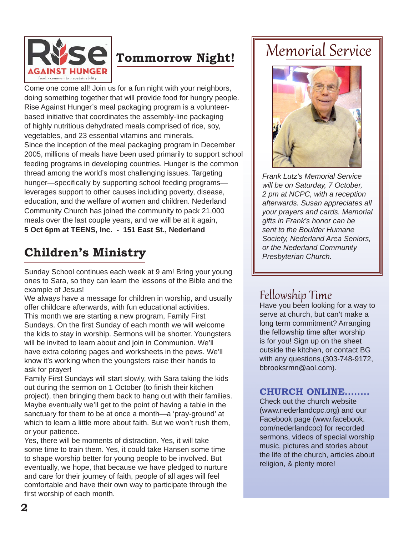

# **Tommorrow Night!**

Come one come all! Join us for a fun night with your neighbors, doing something together that will provide food for hungry people. Rise Against Hunger's meal packaging program is a volunteerbased initiative that coordinates the assembly-line packaging of highly nutritious dehydrated meals comprised of rice, soy, vegetables, and 23 essential vitamins and minerals. Since the inception of the meal packaging program in December 2005, millions of meals have been used primarily to support school feeding programs in developing countries. Hunger is the common thread among the world's most challenging issues. Targeting hunger—specifically by supporting school feeding programs leverages support to other causes including poverty, disease, education, and the welfare of women and children. Nederland Community Church has joined the community to pack 21,000 meals over the last couple years, and we will be at it again, **5 Oct 6pm at TEENS, Inc. - 151 East St., Nederland**

# **Children's Ministry**

Sunday School continues each week at 9 am! Bring your young ones to Sara, so they can learn the lessons of the Bible and the example of Jesus!

We always have a message for children in worship, and usually offer childcare afterwards, with fun educational activities. This month we are starting a new program, Family First Sundays. On the first Sunday of each month we will welcome the kids to stay in worship. Sermons will be shorter. Youngsters will be invited to learn about and join in Communion. We'll have extra coloring pages and worksheets in the pews. We'll know it's working when the youngsters raise their hands to ask for prayer!

Family First Sundays will start slowly, with Sara taking the kids out during the sermon on 1 October (to finish their kitchen project), then bringing them back to hang out with their families. Maybe eventually we'll get to the point of having a table in the sanctuary for them to be at once a month—a 'pray-ground' at which to learn a little more about faith. But we won't rush them, or your patience.

Yes, there will be moments of distraction. Yes, it will take some time to train them. Yes, it could take Hansen some time to shape worship better for young people to be involved. But eventually, we hope, that because we have pledged to nurture and care for their journey of faith, people of all ages will feel comfortable and have their own way to participate through the first worship of each month.

# Memorial Service



*Frank Lutz's Memorial Service will be on Saturday, 7 October, 2 pm at NCPC, with a reception afterwards. Susan appreciates all your prayers and cards. Memorial gifts in Frank's honor can be sent to the Boulder Humane Society, Nederland Area Seniors, or the Nederland Community Presbyterian Church.* 

### Fellowship Time

Have you been looking for a way to serve at church, but can't make a long term commitment? Arranging the fellowship time after worship is for you! Sign up on the sheet outside the kitchen, or contact BG with any questions.(303-748-9172, bbrooksrmn@aol.com).

#### **CHURCH ONLINE........**

Check out the church website (www.nederlandcpc.org) and our Facebook page (www.facebook. com/nederlandcpc) for recorded sermons, videos of special worship music, pictures and stories about the life of the church, articles about religion, & plenty more!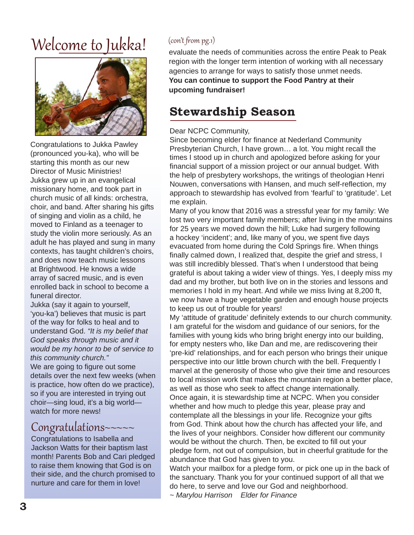# Welcome to Jukka!



Congratulations to Jukka Pawley (pronounced you-ka), who will be starting this month as our new Director of Music Ministries! Jukka grew up in an evangelical missionary home, and took part in church music of all kinds: orchestra, choir, and band. After sharing his gifts of singing and violin as a child, he moved to Finland as a teenager to study the violin more seriously. As an adult he has played and sung in many contexts, has taught children's choirs, and does now teach music lessons at Brightwood. He knows a wide array of sacred music, and is even enrolled back in school to become a funeral director.

Jukka (say it again to yourself, 'you-ka') believes that music is part of the way for folks to heal and to understand God. *"It is my belief that God speaks through music and it would be my honor to be of service to this community church."*

We are going to figure out some details over the next few weeks (when is practice, how often do we practice), so if you are interested in trying out choir—sing loud, it's a big world watch for more news!

# Congratulations~~~~~ Congratulations to Isabella and

Jackson Watts for their baptism last month! Parents Bob and Cari pledged to raise them knowing that God is on their side, and the church promised to nurture and care for them in love!

#### (con't from pg.1)

evaluate the needs of communities across the entire Peak to Peak region with the longer term intention of working with all necessary agencies to arrange for ways to satisfy those unmet needs. **You can continue to support the Food Pantry at their upcoming fundraiser!**

## **Stewardship Season**

#### Dear NCPC Community,

Since becoming elder for finance at Nederland Community Presbyterian Church, I have grown… a lot. You might recall the times I stood up in church and apologized before asking for your financial support of a mission project or our annual budget. With the help of presbytery workshops, the writings of theologian Henri Nouwen, conversations with Hansen, and much self-reflection, my approach to stewardship has evolved from 'fearful' to 'gratitude'. Let me explain.

Many of you know that 2016 was a stressful year for my family: We lost two very important family members; after living in the mountains for 25 years we moved down the hill; Luke had surgery following a hockey 'incident'; and, like many of you, we spent five days evacuated from home during the Cold Springs fire. When things finally calmed down, I realized that, despite the grief and stress, I was still incredibly blessed. That's when I understood that being grateful is about taking a wider view of things. Yes, I deeply miss my dad and my brother, but both live on in the stories and lessons and memories I hold in my heart. And while we miss living at 8,200 ft, we now have a huge vegetable garden and enough house projects to keep us out of trouble for years!

My 'attitude of gratitude' definitely extends to our church community. I am grateful for the wisdom and guidance of our seniors, for the families with young kids who bring bright energy into our building, for empty nesters who, like Dan and me, are rediscovering their 'pre-kid' relationships, and for each person who brings their unique perspective into our little brown church with the bell. Frequently I marvel at the generosity of those who give their time and resources to local mission work that makes the mountain region a better place, as well as those who seek to affect change internationally. Once again, it is stewardship time at NCPC. When you consider whether and how much to pledge this year, please pray and contemplate all the blessings in your life. Recognize your gifts from God. Think about how the church has affected your life, and the lives of your neighbors. Consider how different our community would be without the church. Then, be excited to fill out your pledge form, not out of compulsion, but in cheerful gratitude for the abundance that God has given to you.

Watch your mailbox for a pledge form, or pick one up in the back of the sanctuary. Thank you for your continued support of all that we do here, to serve and love our God and neighborhood.

*~ Marylou Harrison Elder for Finance*